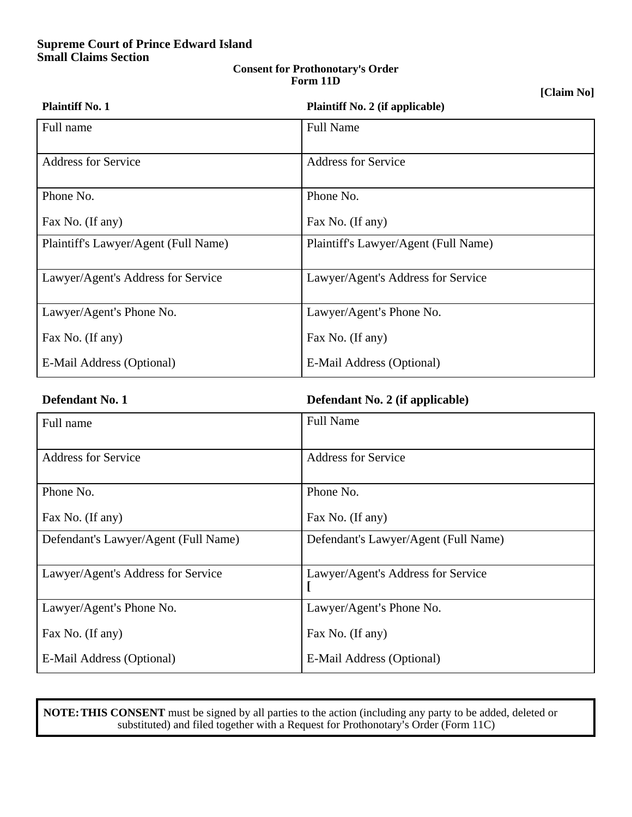# **Supreme Court of Prince Edward Island Small Claims Section**

### **Consent for Prothonotary**=**s Order Form 11D**

# **[Claim No]**

| <b>Plaintiff No. 1</b>               | <b>Plaintiff No. 2 (if applicable)</b> |
|--------------------------------------|----------------------------------------|
| Full name                            | <b>Full Name</b>                       |
| <b>Address for Service</b>           | <b>Address for Service</b>             |
| Phone No.                            | Phone No.                              |
| Fax No. (If any)                     | Fax No. (If any)                       |
| Plaintiff's Lawyer/Agent (Full Name) | Plaintiff's Lawyer/Agent (Full Name)   |
| Lawyer/Agent's Address for Service   | Lawyer/Agent's Address for Service     |
| Lawyer/Agent's Phone No.             | Lawyer/Agent's Phone No.               |
| Fax No. (If any)                     | Fax No. (If any)                       |
| E-Mail Address (Optional)            | E-Mail Address (Optional)              |

**Defendant No. 1 Defendant No. 2 (if applicable)**

| Full name                            | <b>Full Name</b>                     |
|--------------------------------------|--------------------------------------|
| <b>Address for Service</b>           | <b>Address for Service</b>           |
| Phone No.                            | Phone No.                            |
| Fax No. (If any)                     | Fax No. (If any)                     |
| Defendant's Lawyer/Agent (Full Name) | Defendant's Lawyer/Agent (Full Name) |
| Lawyer/Agent's Address for Service   | Lawyer/Agent's Address for Service   |
| Lawyer/Agent's Phone No.             | Lawyer/Agent's Phone No.             |
| Fax No. (If any)                     | Fax No. (If any)                     |
| E-Mail Address (Optional)            | E-Mail Address (Optional)            |

**NOTE: THIS CONSENT** must be signed by all parties to the action (including any party to be added, deleted or substituted) and filed together with a Request for Prothonotary's Order (Form 11C)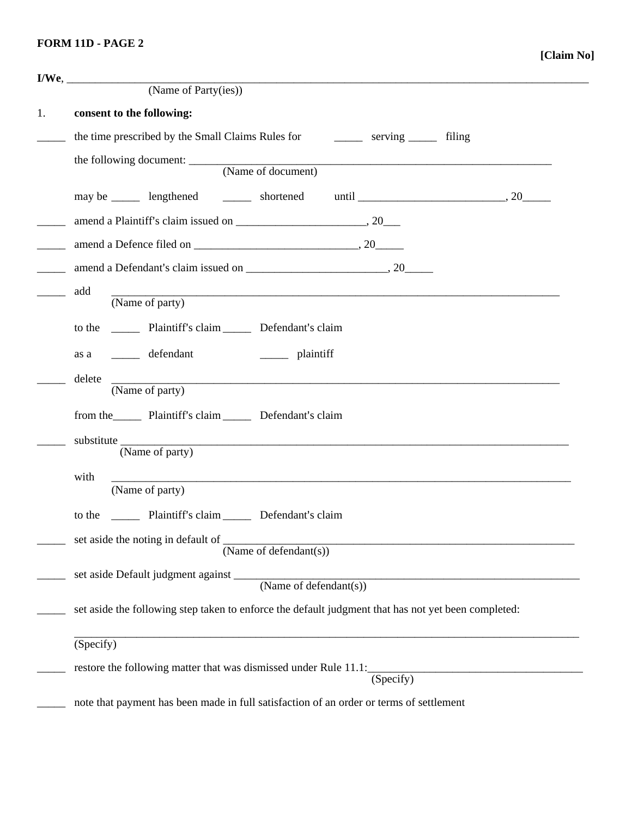# **FORM 11D - PAGE 2**

| (Name of Party(ies))                                                                                                                             |  |  |  |  |
|--------------------------------------------------------------------------------------------------------------------------------------------------|--|--|--|--|
| consent to the following:                                                                                                                        |  |  |  |  |
| the time prescribed by the Small Claims Rules for serving serving tiling                                                                         |  |  |  |  |
|                                                                                                                                                  |  |  |  |  |
|                                                                                                                                                  |  |  |  |  |
|                                                                                                                                                  |  |  |  |  |
|                                                                                                                                                  |  |  |  |  |
|                                                                                                                                                  |  |  |  |  |
|                                                                                                                                                  |  |  |  |  |
| add<br>(Name of party)                                                                                                                           |  |  |  |  |
|                                                                                                                                                  |  |  |  |  |
| to the _________ Plaintiff's claim _________ Defendant's claim                                                                                   |  |  |  |  |
| as a ________ defendant<br>$\frac{1}{\sqrt{1-\frac{1}{2}}}\$ plaintiff                                                                           |  |  |  |  |
| delete<br>(Name of party)                                                                                                                        |  |  |  |  |
| from the Plaintiff's claim Defendant's claim                                                                                                     |  |  |  |  |
| <u> 1990 - Johann Harry Harry Harry Harry Harry Harry Harry Harry Harry Harry Harry Harry Harry Harry Harry Harry</u>                            |  |  |  |  |
| (Name of party)                                                                                                                                  |  |  |  |  |
| with<br><u> 1989 - Johann Stoff, deutscher Stoff, der Stoff, der Stoff, der Stoff, der Stoff, der Stoff, der Stoff, der S</u><br>(Name of party) |  |  |  |  |
| to the _________ Plaintiff's claim _________ Defendant's claim                                                                                   |  |  |  |  |
| set aside the noting in default of _                                                                                                             |  |  |  |  |
| (Name of defendant(s))                                                                                                                           |  |  |  |  |
|                                                                                                                                                  |  |  |  |  |
| set aside the following step taken to enforce the default judgment that has not yet been completed:                                              |  |  |  |  |
| $\overline{\text{(Specify)}}$                                                                                                                    |  |  |  |  |
| restore the following matter that was dismissed under Rule 11.1: (Specify)                                                                       |  |  |  |  |
|                                                                                                                                                  |  |  |  |  |
| note that payment has been made in full satisfaction of an order or terms of settlement                                                          |  |  |  |  |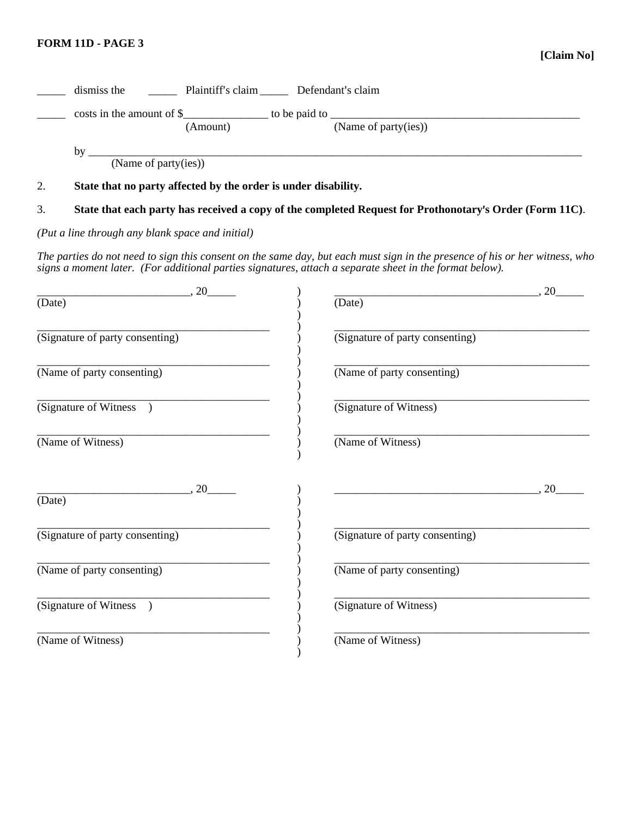**[Claim No]**

|        |                                                                | (Amount) | (Name of party(ies))                                                                                                                                                                                                                   |
|--------|----------------------------------------------------------------|----------|----------------------------------------------------------------------------------------------------------------------------------------------------------------------------------------------------------------------------------------|
|        |                                                                |          | by $\frac{1}{\text{Name of party(ies))}}$                                                                                                                                                                                              |
|        |                                                                |          |                                                                                                                                                                                                                                        |
| 2.     | State that no party affected by the order is under disability. |          |                                                                                                                                                                                                                                        |
| 3.     |                                                                |          | State that each party has received a copy of the completed Request for Prothonotary's Order (Form 11C).                                                                                                                                |
|        | (Put a line through any blank space and initial)               |          |                                                                                                                                                                                                                                        |
|        |                                                                |          | The parties do not need to sign this consent on the same day, but each must sign in the presence of his or her witness, who<br>signs a moment later. (For additional parties signatures, attach a separate sheet in the format below). |
|        | $\overbrace{0}$ , 20                                           |          | $\overbrace{\phantom{aaaaa}}^{20}$                                                                                                                                                                                                     |
| (Date) |                                                                |          | (Date)                                                                                                                                                                                                                                 |
|        | (Signature of party consenting)                                |          | (Signature of party consenting)                                                                                                                                                                                                        |
|        | (Name of party consenting)                                     |          | (Name of party consenting)                                                                                                                                                                                                             |
|        | (Signature of Witness )                                        |          | (Signature of Witness)                                                                                                                                                                                                                 |
|        | (Name of Witness)                                              |          | (Name of Witness)                                                                                                                                                                                                                      |
| (Date) | $\overbrace{\phantom{aaaaa}}^{20}$                             |          | $\overbrace{\hspace{2.5cm}}^{20}$                                                                                                                                                                                                      |
|        |                                                                |          |                                                                                                                                                                                                                                        |
|        | (Signature of party consenting)                                |          | (Signature of party consenting)                                                                                                                                                                                                        |
|        | (Name of party consenting)                                     |          | (Name of party consenting)                                                                                                                                                                                                             |
|        | (Signature of Witness                                          |          | (Signature of Witness)                                                                                                                                                                                                                 |
|        | (Name of Witness)                                              |          | (Name of Witness)                                                                                                                                                                                                                      |